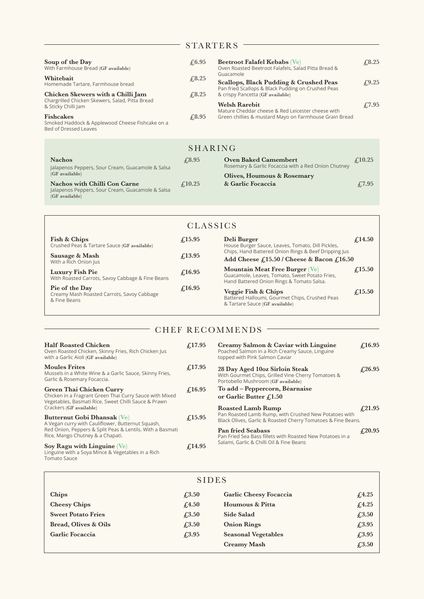## STARTERS -

| Soup of the Day<br>With Farmhouse Bread (GF available)<br>Whitebait<br>Homemade Tartare, Farmhouse bread<br>Chicken Skewers with a Chilli Jam<br>Chargrilled Chicken Skewers, Salad, Pitta Bread<br>& Sticky Chilli Jam<br><b>Fishcakes</b><br>Smoked Haddock & Applewood Cheese Fishcake on a<br>Bed of Dressed Leaves | $\sqrt{6.95}$<br>£3.25<br>$\textcolor{blue}{\pounds}8.25$<br>$\sqrt{0.95}$ | <b>Beetroot Falafel Kebabs</b> (Ve)<br>Oven Roasted Beetroot Falafels, Salad Pitta Bread &<br>Guacamole<br>Scallops, Black Pudding & Crushed Peas<br>Pan fried Scallops & Black Pudding on Crushed Peas<br>& crispy Pancetta (GF available)<br><b>Welsh Rarebit</b><br>Mature Cheddar cheese & Red Leicester cheese with<br>Green chillies & mustard Mayo on Farmhouse Grain Bread | $\sqrt{6.25}$<br>$\textcolor{blue}{\downarrow}9.25$<br>$\sqrt{7.95}$ |
|-------------------------------------------------------------------------------------------------------------------------------------------------------------------------------------------------------------------------------------------------------------------------------------------------------------------------|----------------------------------------------------------------------------|------------------------------------------------------------------------------------------------------------------------------------------------------------------------------------------------------------------------------------------------------------------------------------------------------------------------------------------------------------------------------------|----------------------------------------------------------------------|
|                                                                                                                                                                                                                                                                                                                         | SHARING                                                                    |                                                                                                                                                                                                                                                                                                                                                                                    |                                                                      |
| <b>Nachos</b><br>Jalapenos Peppers, Sour Cream, Guacamole & Salsa<br>$(GF)$ available<br><b>Nachos with Chilli Con Carne</b><br>Jalapenos Peppers, Sour Cream, Guacamole & Salsa<br>(GF available)                                                                                                                      | £8.95                                                                      | <b>Oven Baked Camembert</b><br>Rosemary & Garlic Focaccia with a Red Onion Chutney                                                                                                                                                                                                                                                                                                 | $\textcolor{red}{\downarrow}10.25$                                   |
|                                                                                                                                                                                                                                                                                                                         | f(10.25)                                                                   | Olives, Houmous & Rosemary<br>& Garlic Focaccia                                                                                                                                                                                                                                                                                                                                    | £7.95                                                                |

| <b>CLASSICS</b>                                                              |                                 |                                                                                                                                      |                  |  |  |  |
|------------------------------------------------------------------------------|---------------------------------|--------------------------------------------------------------------------------------------------------------------------------------|------------------|--|--|--|
| Fish & Chips<br>Crushed Peas & Tartare Sauce (GF available)                  | $\mathcal{L}$ 15.95             | Deli Burger<br>House Burger Sauce, Leaves, Tomato, Dill Pickles,                                                                     | $f_{.}14.50$     |  |  |  |
| Sausage & Mash<br>With a Rich Onion Jus                                      | $f_{.}13.95$                    | Chips, Hand Battered Onion Rings & Beef Dripping Jus<br>Add Cheese $f115.50$ / Cheese & Bacon $f116.50$                              |                  |  |  |  |
| Luxury Fish Pie<br>With Roasted Carrots, Savoy Cabbage & Fine Beans          | $\textcolor{red}{\pounds}16.95$ | <b>Mountain Meat Free Burger (Ve)</b><br>Guacamole, Leaves, Tomato, Sweet Potato Fries,<br>Hand Battered Onion Rings & Tomato Salsa. | $\epsilon$ 15.50 |  |  |  |
| Pie of the Day<br>Creamy Mash Roasted Carrots, Savoy Cabbage<br>& Fine Beans | $\mathcal{L}16.95$              | Veggie Fish & Chips<br>Battered Halloumi, Gourmet Chips, Crushed Peas<br>& Tartare Sauce (GF available)                              | $\epsilon$ 15.50 |  |  |  |

## - CHEF RECOMMENDS -

| <b>Half Roasted Chicken</b><br>Oven Roasted Chicken, Skinny Fries, Rich Chicken Jus<br>with a Garlic Aioli (GF available)                                                         | f(17.95)       |
|-----------------------------------------------------------------------------------------------------------------------------------------------------------------------------------|----------------|
| <b>Moules Frites</b><br>Mussels in a White Wine & a Garlic Sauce, Skinny Fries,<br>Garlic & Rosemary Focaccia.                                                                    | $f_{.}17.95$   |
| Green Thai Chicken Curry<br>Chicken in a Fragrant Green Thai Curry Sauce with Mixed<br>Vegetables, Basmati Rice, Sweet Chilli Sauce & Prawn<br>Crackers (GF available)            | £16.95         |
| Butternut Gobi Dhansak (Ve)<br>A Vegan curry with Cauliflower, Butternut Squash,<br>Red Onion, Peppers & Split Peas & Lentils. With a Basmati<br>Rice, Mango Chutney & a Chapati. | $\sqrt{15.95}$ |
| $\sum_{n=1}^{\infty}$ Poss with Linguino $N_{0}$                                                                                                                                  | 0.1405         |

**Soy Ragu with Linguine (Ve) £14.95** Linguine with a Soya Mince & Vegetables in a Rich Tomato Sauce

| 25     | Creamy Salmon & Caviar with Linguine<br>Poached Salmon in a Rich Creamy Sauce, Linguine<br>topped with Pink Salmon Caviar                         | $\textcolor{red}{\pounds}16.95$ |
|--------|---------------------------------------------------------------------------------------------------------------------------------------------------|---------------------------------|
| 25     | 28 Day Aged 10oz Sirloin Steak<br>With Gourmet Chips, Grilled Vine Cherry Tomatoes &<br>Portobello Mushroom (GF available)                        | f(26.95)                        |
| 25     | To add – Peppercorn, Béarnaise<br>or Garlic Butter $f_{1.50}$                                                                                     |                                 |
| 25     | <b>Roasted Lamb Rump</b><br>Pan Roasted Lamb Rump, with Crushed New Potatoes with<br>Black Olives, Garlic & Roasted Cherry Tomatoes & Fine Beans. | $\textcolor{red}{\pounds}21.95$ |
| $\sim$ | <b>Pan fried Seabass</b><br>Pan Fried Sea Bass fillets with Roasted New Potatoes in a<br>Salami, Garlic & Chilli Oil & Fine Beans                 | $f_{.20.95}$                    |

## SIDES

| Chips                     | $\textcolor{blue}{\pounds}3.50$ | Garlic Cheesy Focaccia     | f(4.25)                           |
|---------------------------|---------------------------------|----------------------------|-----------------------------------|
| <b>Cheesy Chips</b>       | f <sub>4.50</sub>               | Houmous & Pitta            | f(4.25)                           |
| <b>Sweet Potato Fries</b> | $\textcolor{blue}{\pounds}3.50$ | Side Salad                 | $\textcolor{blue}{f_{\cdot}}3.50$ |
| Bread, Olives & Oils      | $\textcolor{blue}{\pounds}3.50$ | <b>Onion Rings</b>         | $\sqrt{.3.95}$                    |
| Garlic Focaccia           | $\sqrt{4.3.95}$                 | <b>Seasonal Vegetables</b> | $\sqrt{.3.95}$                    |
|                           |                                 | <b>Creamy Mash</b>         | $\textcolor{blue}{f_{\cdot}}3.50$ |